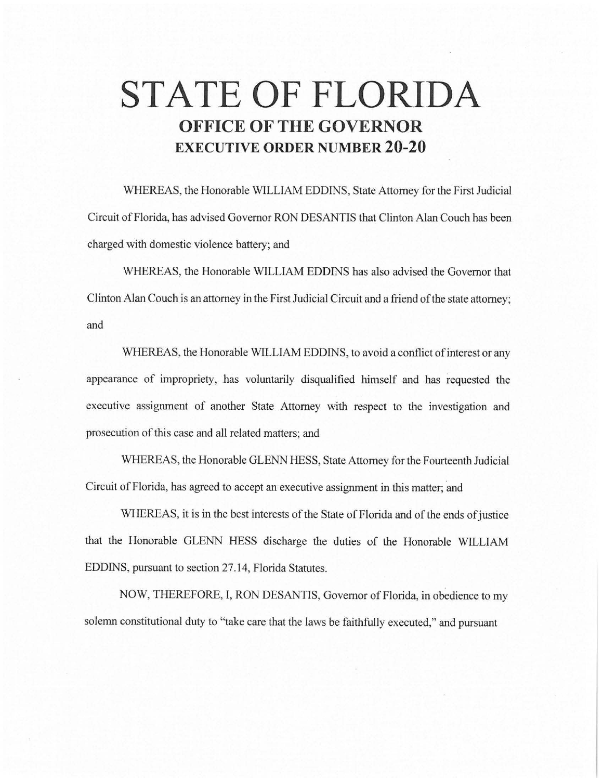## **STATE OF FLORIDA OFFICE OF THE GOVERNOR EXECUTIVE ORDER NUMBER 20-20**

WHEREAS, the Honorable WILLIAM EDDINS, State Attorney for the First Judicial Circuit of Florida, has advised Governor RON DESANTIS that Clinton Alan Couch has been charged with domestic violence battery; and

WHEREAS, the Honorable WILLIAM EDDINS has also advised the Governor that Clinton Alan Couch is an attorney in the First Judicial Circuit and a friend of the state attorney; and

WHEREAS, the Honorable WILLIAM EDDINS, to avoid a conflict of interest or any appearance of impropriety, has voluntarily disqualified himself and has requested the executive assignment of another State Attorney with respect to the investigation and prosecution of this case and all related matters; and

WHEREAS, the Honorable GLENN HESS, State Attorney for the Fourteenth Judicial Circuit of Florida, has agreed to accept an executive assignment in this matter; and

WHEREAS, it is in the best interests of the State of Florida and of the ends of justice that the Honorable GLENN HESS discharge the duties of the Honorable WILLIAM EDDINS, pursuant to section 27.14, Florida Statutes.

NOW, THEREFORE, I, RON DESANTIS, Governor of Florida, in obedience to my solemn constitutional duty to "take care that the laws be faithfully executed," and pursuant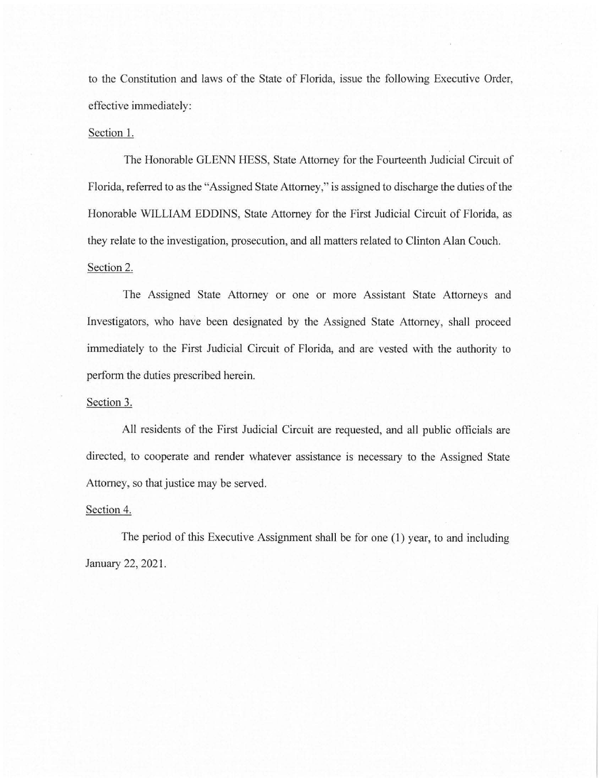to the Constitution and laws of the State of Florida, issue the following Executive Order, effective immediately:

## Section 1.

The Honorable GLENN HESS, State Attorney for the Fourteenth Judicial Circuit of Florida, referred to as the "Assigned State Attorney," is assigned to discharge the duties of the Honorable WILLIAM EDDINS, State Attorney for the First Judicial Circuit of Florida, as they relate to the investigation, prosecution, and all matters related to Clinton Alan Couch. Section 2.

The Assigned State Attorney or one or more Assistant State Attorneys and Investigators, who have been designated by the Assigned State Attorney, shall proceed immediately to the First Judicial Circuit of Florida, and are vested with the authority to perform the duties prescribed herein.

## Section 3.

All residents of the First Judicial Circuit are requested, and all public officials are directed, to cooperate and render whatever assistance is necessary to the Assigned State Attorney, so that justice may be served.

## Section 4.

The period of this Executive Assignment shall be for one (1) year, to and including January 22, 2021.